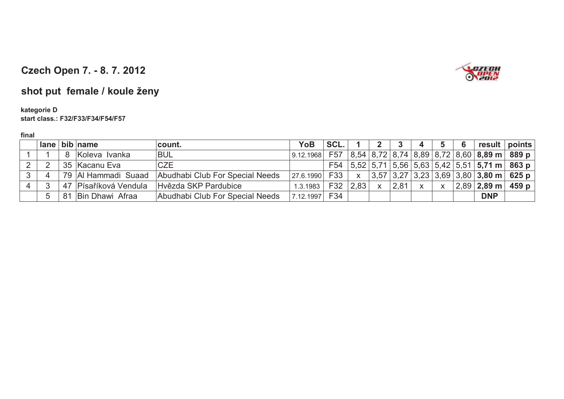

# **shot put female / koule ženy**

#### **kategorie Dstart class.: F32/F33/F34/F54/F57**

|              |                          | lane bib name         | count.                          | YoB               | SCL. |              |                         | - 3  | 4            | 5            | 6 | result points                                     |  |
|--------------|--------------------------|-----------------------|---------------------------------|-------------------|------|--------------|-------------------------|------|--------------|--------------|---|---------------------------------------------------|--|
|              |                          | 8 Koleva Ivanka       | <b>BUL</b>                      | 9.12.1968         |      |              |                         |      |              |              |   | F57 $ 8,54 8,72 8,74 8,89 8,72 8,60 8,89$ m 889 p |  |
|              | 2                        | 35 Kacanu Eva         | <b>CZE</b>                      |                   | F54  |              |                         |      |              |              |   | $ 5,52 $ 5,71 5,56 5,63 5,42 5,51 5,71 m 863 p    |  |
| $\mathbf{P}$ | $\overline{\mathcal{A}}$ | 79 Al Hammadi Suaad   | Abudhabi Club For Special Needs | $ 27.6.1990 $ F33 |      | $\mathsf{X}$ |                         |      |              |              |   | $3,57$ 3,27 3,23 3,69 3,80 3,80 m 625 p           |  |
|              | 3                        | 47 Písaříková Vendula | Hvězda SKP Pardubice            | 1.3.1983          | F32  | 2.83         | $\overline{\mathsf{x}}$ | 2,81 | $\mathsf{X}$ | $\mathsf{X}$ |   | $ 2,89 $ 2,89 m $ 459 $                           |  |
|              | $5^{\circ}$              | 81 Bin Dhawi Afraa    | Abudhabi Club For Special Needs | 7.12.1997         | F34  |              |                         |      |              |              |   | <b>DNP</b>                                        |  |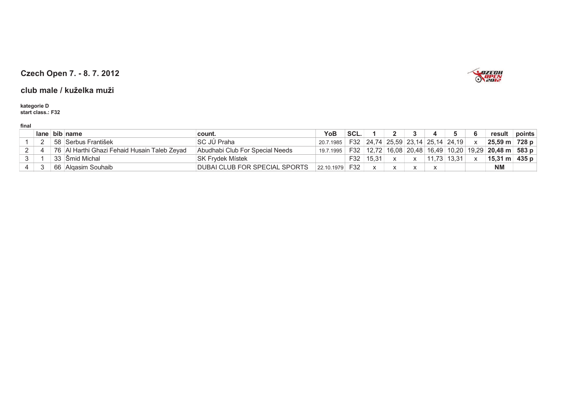# **SPEED HARDEN**

### **Czech Open 7. - 8. 7. 2012**

#### **club male / kuželka muži**

# **kategorie D start class.: F32**

|  | $lane$ bib name                                | ˈcount.                              | <b>YoB</b> | SCL. |           |                                   |        |  | result                                                                 | points |
|--|------------------------------------------------|--------------------------------------|------------|------|-----------|-----------------------------------|--------|--|------------------------------------------------------------------------|--------|
|  | 58 Serbus František                            | ISC JÚ Praha                         | 20.7.1985  |      |           | F32 24,74 25,59 23,14 25,14 24,19 |        |  | 25,59 m 728 p                                                          |        |
|  | 76   Al Harthi Ghazi Fehaid Husain Taleb Zeyad | Abudhabi Club For Special Needs      | 19.7.1995  | F32  |           |                                   |        |  | 12,72   16,08   20,48   16,49   10,20   19,29   <b>20,48 m   583 p</b> |        |
|  | 33 Smid Michal                                 | ISK Frvdek Místek                    |            | F32  | 15.31     |                                   | ا 73.، |  | $15,31 \text{ m}$ 435 p                                                |        |
|  | 66   Algasim Souhaib                           | <b>DUBAI CLUB FOR SPECIAL SPORTS</b> | 22.10.1979 | F32  | $\lambda$ |                                   |        |  | <b>NM</b>                                                              |        |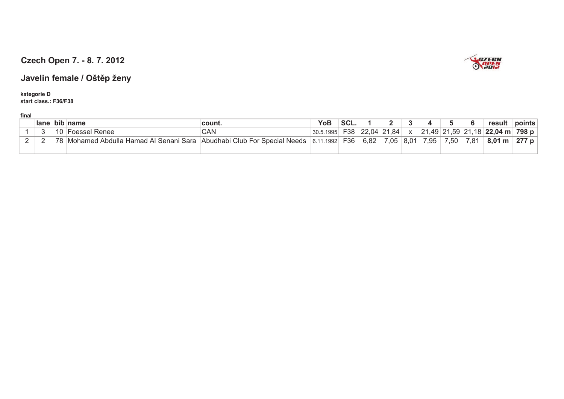

### **Javelin female / Oštp ženy**

**kategorie D start class.: F36/F38**

| ------- |      |          |                                                       |                                                        |           |             |             |             |                            |          |     |          |                 |        |
|---------|------|----------|-------------------------------------------------------|--------------------------------------------------------|-----------|-------------|-------------|-------------|----------------------------|----------|-----|----------|-----------------|--------|
|         | lane | .<br>bib | name                                                  | count.                                                 | YoB       | e r<br>JVL. |             |             |                            |          |     |          | result          | points |
|         |      |          | Renee                                                 | UAN                                                    | 30.5.1995 | 538         | 22,04       | ,84         |                            | ົ        |     |          | ' 22 በ4<br>04 m | 798 p  |
| -       |      | 70       | aulla.<br>Hamad<br>Sara.<br>Abd<br>Senani<br>/lohamed | Club<br>⊰necial<br>⊾مما∩<br>$ \sim$ r<br>Abu<br>udhabu | 1992.     | F36         | മാറ<br>ס.ס∠ | 7 05<br>.v. | $\bigcap$<br>$\sim$<br>o.u | $\Omega$ | .5U | $\Omega$ | 8.01<br>m       | 277    |
|         |      |          |                                                       |                                                        |           |             |             |             |                            |          |     |          |                 |        |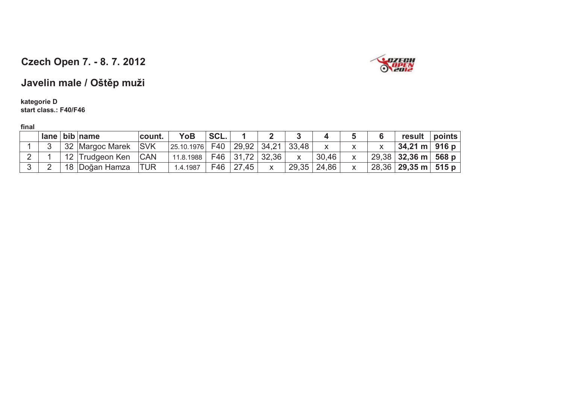

## **Javelin male / Oštp muži**

#### **kategorie Dstart class.: F40/F46**

|                |                 | $lane$ bib name | count.     | <b>YoB</b> | SCL. |                                           |             |       |  | result                                 | points |
|----------------|-----------------|-----------------|------------|------------|------|-------------------------------------------|-------------|-------|--|----------------------------------------|--------|
|                |                 | 32 Margoc Marek | <b>SVK</b> | 25.10.1976 | F40  | $\vert$ 29,92 $\vert$ 34,21 $\vert$ 33,48 |             |       |  | $34,21 \text{ m}$ 916 p                |        |
| $\overline{2}$ | 12 <sub>1</sub> | Trudgeon Ken    | <b>CAN</b> | 11.8.1988  |      | F46 31,72 32,36                           |             | 30.46 |  | ,29,38   <b>32,36 m</b>   <b>568 p</b> |        |
|                |                 | 18 Doğan Hamza  | <b>TUR</b> | 1.4.1987   | F46  | 27,45                                     | 29,35 24,86 |       |  | 28,36 <b>  29,35 m   515 p</b>         |        |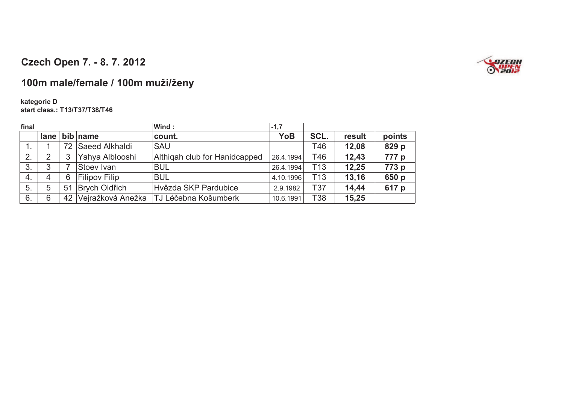

## **100m male/female / 100m muži/ženy**

#### **kategorie Dstart class.: T13/T37/T38/T46**

| final |                |    |                      | Wind:                         | $-1,7$    |                 |        |        |
|-------|----------------|----|----------------------|-------------------------------|-----------|-----------------|--------|--------|
|       | lane           |    | bib name             | count.                        | YoB       | SCL.            | result | points |
|       |                | 72 | Saeed Alkhaldi       | <b>SAU</b>                    |           | T46             | 12,08  | 829 p  |
| 2.    | 2              | 3  | Yahya Alblooshi      | Althigah club for Hanidcapped | 26.4.1994 | T46             | 12,43  | 777 p  |
| 3.    | 3              |    | Stoev Ivan           | <b>BUL</b>                    | 26.4.1994 | T <sub>13</sub> | 12,25  | 773 p  |
| 4.    | $\overline{4}$ | 6  | <b>Filipov Filip</b> | <b>BUL</b>                    | 4.10.1996 | T <sub>13</sub> | 13,16  | 650 p  |
| 5.    | 5              | 51 | Brych Oldřich        | Hvězda SKP Pardubice          | 2.9.1982  | T37             | 14,44  | 617 p  |
| 6.    | 6              | 42 | Vejražková Anežka    | TJ Léčebna Košumberk          | 10.6.1991 | T38             | 15,25  |        |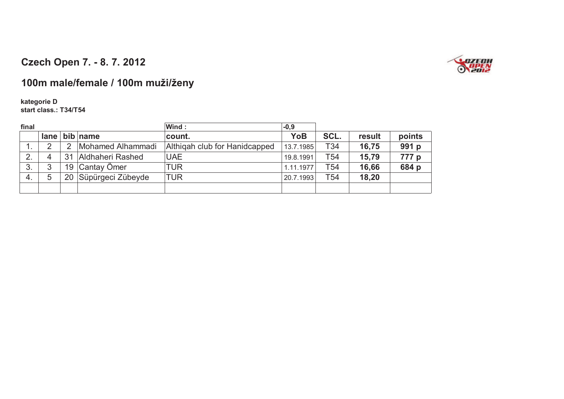

## **100m male/female / 100m muži/ženy**

#### **kategorie Dstart class.: T34/T54**

| final |         |    |                   | Wind:                         | $-0,9$    |                 |        |        |
|-------|---------|----|-------------------|-------------------------------|-----------|-----------------|--------|--------|
|       | $l$ ane |    | bib name          | count.                        | YoB       | SCL.            | result | points |
| . .   | ◠       |    | Mohamed Alhammadi | Althigah club for Hanidcapped | 13.7.1985 | T <sub>34</sub> | 16,75  | 991 p  |
| 2.    | 4       | 31 | Aldhaheri Rashed  | <b>UAE</b>                    | 19.8.1991 | T <sub>54</sub> | 15,79  | 777 p  |
| 3.    | հ       | 19 | Cantay Ömer       | TUR                           | 1.11.1977 | T <sub>54</sub> | 16,66  | 684 p  |
| 4.    | 5       | 20 | Süpürgeci Zübeyde | TUR                           | 20.7.1993 | T54             | 18,20  |        |
|       |         |    |                   |                               |           |                 |        |        |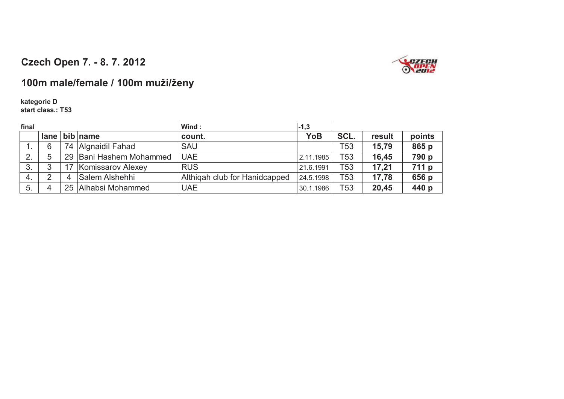

## **100m male/female / 100m muži/ženy**

#### **kategorie Dstart class.: T53**

| final        |      |                            | Wind:                         | $-1,3$    |                 |        |        |
|--------------|------|----------------------------|-------------------------------|-----------|-----------------|--------|--------|
|              | lane | bib name                   | count.                        | YoB       | SCL.            | result | points |
|              | 6    | 74 Algnaidil Fahad         | <b>SAU</b>                    |           | T53             | 15,79  | 865 p  |
| $\mathbf{2}$ | 5    | Bani Hashem Mohammed<br>29 | <b>UAE</b>                    | 2.11.1985 | T <sub>53</sub> | 16,45  | 790 p  |
| 3.           |      | Komissarov Alexey          | <b>RUS</b>                    | 21.6.1991 | T53             | 17,21  | 711 p  |
| -4.          | າ    | Salem Alshehhi             | Althigah club for Hanidcapped | 24.5.1998 | T <sub>53</sub> | 17,78  | 656 p  |
| 5.           |      | Alhabsi Mohammed<br>25     | <b>UAE</b>                    | 30.1.1986 | T <sub>53</sub> | 20,45  | 440 p  |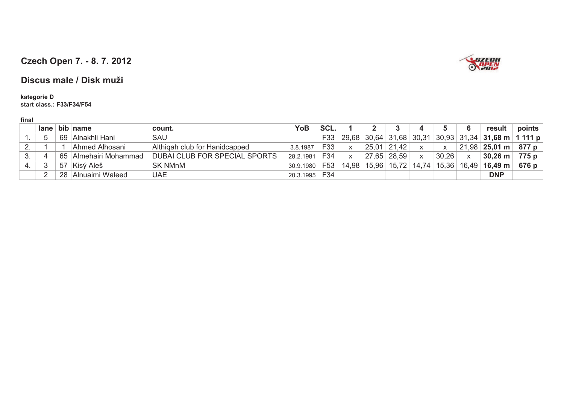

#### **Discus male / Disk muži**

**kategorie Dstart class.: F33/F34/F54**

|          |    | lane bib name         | count.                               | YoB       | SCL. |       |       |                                       |   |       | 6            | result                                                      | points |
|----------|----|-----------------------|--------------------------------------|-----------|------|-------|-------|---------------------------------------|---|-------|--------------|-------------------------------------------------------------|--------|
|          | 69 | Alnakhli Hani         | SAU                                  |           | F33  |       |       |                                       |   |       |              | $\vert$ 29,68 30,64 31,68 30,31 30,93 31,34 31,68 m 1 111 p |        |
| <u>.</u> |    | Ahmed Alhosani        | Althigah club for Hanidcapped        | 3.8.1987  | F33  | X     | 25,01 | 21.42                                 |   | X     |              | $21,98$   25,01 m                                           | 877 p  |
|          |    | 65 Almehairi Mohammad | <b>DUBAI CLUB FOR SPECIAL SPORTS</b> | 28.2.1981 | F34  | X     |       | 27,65 28,59                           | X | 30,26 | $\mathsf{X}$ | $30,26$ m                                                   | 775 p  |
|          | 57 | Kisý Aleš             | <b>SK NMnM</b>                       | 30.9.1980 | F53  | 14.98 |       | 15,96   15,72   14,74   15,36   16,49 |   |       |              | $16,49 \; m$                                                | 676 p  |
|          |    | 28 Alnuaimi Waleed    | <b>UAE</b>                           | 20.3.1995 | F34  |       |       |                                       |   |       |              | <b>DNP</b>                                                  |        |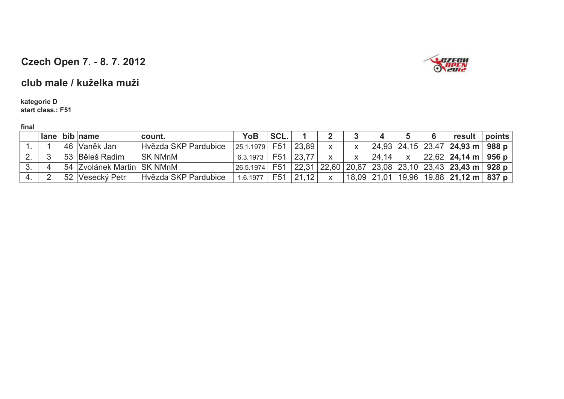

### **club male / kuželka muži**

#### **kategorie Dstart class.: F51**

|    |  | $lane$ bib name            | count.               | <b>YoB</b> | SCL.            |       |              |       |   | result                                                                         | points |
|----|--|----------------------------|----------------------|------------|-----------------|-------|--------------|-------|---|--------------------------------------------------------------------------------|--------|
|    |  | 46 Vaněk Jan               | Hvězda SKP Pardubice | 25.1.1979  | F51             | 23,89 |              |       |   | $24,93$ $24,15$ $23,47$ $24,93$ m $988$ p                                      |        |
| 2. |  | 53 Běleš Radim             | <b>SK NMnM</b>       | 6.3.1973   | F <sub>51</sub> | 23,77 |              | 24,14 | X | $ 22,62 $ 24,14 m $ $ 956 p                                                    |        |
| 3. |  | 54 Zvolánek Martin SK NMnM |                      | 26.5.1974  | F51             |       |              |       |   | ,22,31   22,60   20,87   23,08   23,10   23,43   <b>23,43 m</b>   <b>928 p</b> |        |
| 4. |  | 52 Vesecký Petr            | Hvězda SKP Pardubice | 1.6.1977   | F51             | 21,12 | $\mathsf{X}$ |       |   | $ 18,09 21,01 19,96 19,88 21,12 \text{ m}$ 837 p                               |        |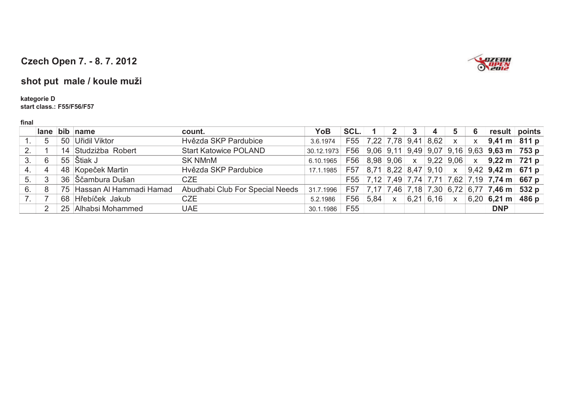

# **shot put male / koule muži**

#### **kategorie D**

#### **start class.: F55/F56/F57**

| ×<br>. . |
|----------|
|----------|

|    |   |    | lane bib name              | count.                          | YoB        | SCL.            |                                | -3 | 4 | 5            | 6            |                                                                       | result points |
|----|---|----|----------------------------|---------------------------------|------------|-----------------|--------------------------------|----|---|--------------|--------------|-----------------------------------------------------------------------|---------------|
|    | 5 | 50 | Uřidil Viktor              | Hvězda SKP Pardubice            | 3.6.1974   |                 | F55 7,22 7,78 9,41 8,62        |    |   | $\mathsf{X}$ | $\mathsf{X}$ | $9,41 \text{ m}$ 811 p                                                |               |
| 2. |   |    | 14 Studziżba Robert        | <b>Start Katowice POLAND</b>    | 30.12.1973 |                 |                                |    |   |              |              | F56 9,06 9,11 9,49 9,07 9,16 9,63 <b>9,63 m 753 p</b>                 |               |
| 3. | 6 |    | 55 Stiak J                 | <b>SK NMnM</b>                  | 6.10.1965  |                 |                                |    |   |              |              | F56 8,98 9,06 $\times$ 9,22 9,06 $\times$ 9,22 m 721 p                |               |
| 4. | 4 |    | 48 Kopeček Martin          | Hvězda SKP Pardubice            | 17.1.1985  |                 |                                |    |   |              |              | F57 $ 8,71 8,22 8,47 9,10$ x $ 9,42 9,42$ m 671 p                     |               |
| 5. | 3 |    | 36 Sčambura Dušan          | <b>CZE</b>                      |            |                 |                                |    |   |              |              | F55 7,12 7,49 7,74 7,71 7,62 7,19 7,74 m 667 p                        |               |
| 6. | 8 |    | 75 Hassan Al Hammadi Hamad | Abudhabi Club For Special Needs | 31.7.1996  |                 |                                |    |   |              |              | F57   7,17   7,46   7,18   7,30   6,72   6,77   <b>7,46 m   532 p</b> |               |
|    |   |    | 68 Hřebíček Jakub          | <b>CZE</b>                      | 5.2.1986   |                 | F56 $ 5,84 $ x $ 6,21 6,16 $ x |    |   |              |              | $ 6,20 $ 6,21 m 486 p                                                 |               |
|    |   |    | 25 Alhabsi Mohammed        | <b>UAE</b>                      | 30.1.1986  | F <sub>55</sub> |                                |    |   |              |              | <b>DNP</b>                                                            |               |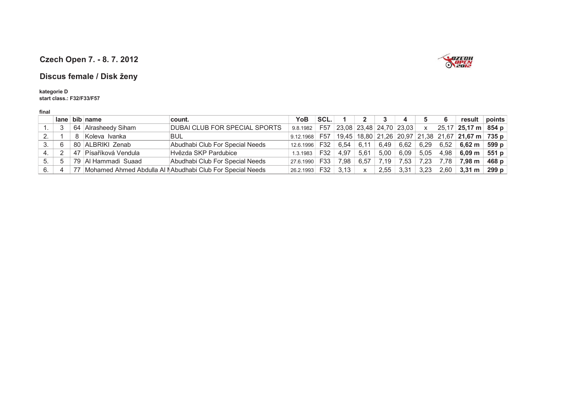

#### **Discus female / Disk ženy**

#### **kategorie D**

**start class.: F32/F33/F57**

| $lane$ bib name     | count.                                                                              | YoB                                                                                             |      |                                                              |              |      |      |                              |                                       |                     |                                                                                                                               |
|---------------------|-------------------------------------------------------------------------------------|-------------------------------------------------------------------------------------------------|------|--------------------------------------------------------------|--------------|------|------|------------------------------|---------------------------------------|---------------------|-------------------------------------------------------------------------------------------------------------------------------|
|                     |                                                                                     |                                                                                                 | SCL. |                                                              |              |      | 4    |                              |                                       | result              | $ $ points                                                                                                                    |
| 64 Alrasheedy Siham | DUBAI CLUB FOR SPECIAL SPORTS                                                       | 9.8.1982                                                                                        |      |                                                              |              |      |      |                              |                                       | 25,17 25,17 m 854 p |                                                                                                                               |
|                     | BUL                                                                                 |                                                                                                 |      |                                                              |              |      |      |                              |                                       |                     |                                                                                                                               |
|                     | Abudhabi Club For Special Needs                                                     |                                                                                                 | F32  | 6.54                                                         | 6.11         |      | 6,62 | 6,29                         | 6,52                                  |                     |                                                                                                                               |
|                     | Hvězda SKP Pardubice                                                                |                                                                                                 | F32  |                                                              |              |      | 6,09 |                              |                                       |                     | 551 p                                                                                                                         |
|                     |                                                                                     |                                                                                                 | F33  | 7.98                                                         | 6.57         | 7.19 | 7,53 | 7,23                         | 7.78                                  | 7.98 m              | 468 $p$                                                                                                                       |
|                     |                                                                                     |                                                                                                 | F32  | 3,13                                                         | $\mathsf{X}$ |      |      | 3,23                         | 2.60                                  |                     | 299 p                                                                                                                         |
|                     | 8 Koleva Ivanka<br>80 ALBRIKI Zenab<br>47 Písaříková Vendula<br>79 Al Hammadi Suaad | Abudhabi Club For Special Needs<br>77 Mohamed Ahmed Abdulla Al NAbudhabi Club For Special Needs |      | 9.12.1968<br>12.6.1996<br>1.3.1983<br>27.6.1990<br>26.2.1993 | 4,97         | 5,61 |      | 6,49<br>5,00<br>2,55<br>3,31 | F57 23,08 23,48 24,70 23,03 x<br>5,05 |                     | F57   19,45   18,80   21,26   20,97   21,38   21,67   21,67 m   735 p  <br>6,62 m 599 p<br>4,98<br>6.09 m<br>$3,31 \text{ m}$ |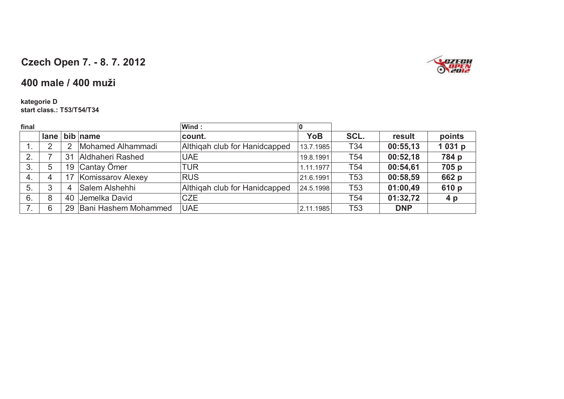

### **400 male / 400 muži**

#### **kategorie Dstart class.: T53/T54/T34**

| final |      |    |                      | Wind:                         | 0          |                 |            |                |
|-------|------|----|----------------------|-------------------------------|------------|-----------------|------------|----------------|
|       | lane |    | bib name             | count.                        | <b>YoB</b> | SCL.            | result     | points         |
|       | ⌒    | 2  | Mohamed Alhammadi    | Althigah club for Hanidcapped | 13.7.1985  | T34             | 00:55,13   | 1031 p         |
| 2.    |      | 31 | Aldhaheri Rashed     | <b>UAE</b>                    | 19.8.1991  | T54             | 00:52,18   | 784 p          |
| 3.    | 5    | 19 | Cantay Ömer          | TUR                           | 1.11.1977  | T54             | 00:54,61   | 705 p          |
| 4.    | 4    |    | Komissarov Alexey    | <b>RUS</b>                    | 21.6.1991  | T <sub>53</sub> | 00:58,59   | 662 p          |
| 5.    | 3    | 4  | Salem Alshehhi       | Althigah club for Hanidcapped | 24.5.1998  | <b>T53</b>      | 01:00,49   | 610 p          |
| 6.    | 8    | 40 | Jemelka David        | <b>CZE</b>                    |            | T <sub>54</sub> | 01:32,72   | 4 <sub>p</sub> |
|       | 6    | 29 | Bani Hashem Mohammed | <b>UAE</b>                    | 2.11.1985  | T <sub>53</sub> | <b>DNP</b> |                |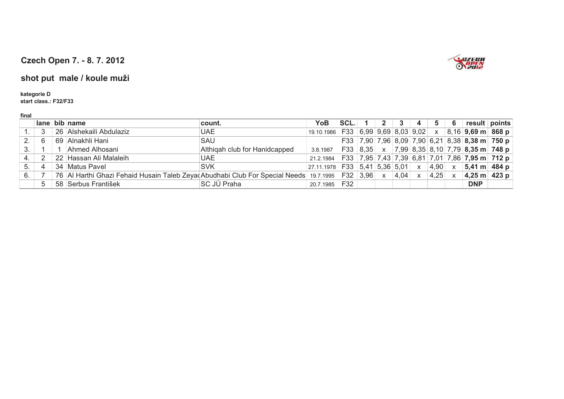

### **shot put male / koule muži**

#### **kategorie D**

**start class.: F32/F33**

|     |     | lane bib name                                                                                       | count.                        | YoB                                                           | SCL. |              |      |              |            | - 6 |                                                                    | result   points |
|-----|-----|-----------------------------------------------------------------------------------------------------|-------------------------------|---------------------------------------------------------------|------|--------------|------|--------------|------------|-----|--------------------------------------------------------------------|-----------------|
|     |     | 26 Alshekaili Abdulaziz                                                                             | <b>UAE</b>                    | 19.10.1986 F33 6,99 9,69 8,03 9,02 x 8,16 <b>9,69 m 868 p</b> |      |              |      |              |            |     |                                                                    |                 |
|     | - 6 | 69 Alnakhli Hani                                                                                    | SAU                           |                                                               |      |              |      |              |            |     | F33   7,90   7,96   8,09   7,90   6,21   8,38   8,38 m   750 p     |                 |
| 3.  |     | Ahmed Alhosani                                                                                      | Althigah club for Hanidcapped | 3.8.1987                                                      |      |              |      |              |            |     | F33   8,35   x   7,99   8,35   8,10   7,79   <b>8,35 m   748 p</b> |                 |
| -4. |     | 22 Hassan Ali Malaleih                                                                              | <b>UAE</b>                    | 21.2.1984                                                     |      |              |      |              |            |     |                                                                    |                 |
| 5.  |     | 34 Matus Pavel                                                                                      | <b>SVK</b>                    | 27.11.1978 F33 5,41 5,36 5,01 x                               |      |              |      |              |            |     | $ 4,90  \times  5,41 \text{ m}   484 \text{ p}$                    |                 |
| 6.  |     | 76 Al Harthi Ghazi Fehaid Husain Taleb Zeyad Abudhabi Club For Special Needs 19.7.1995   F32   3,96 |                               |                                                               |      | $\mathsf{X}$ | 4,04 | $\mathsf{X}$ | $ 4,25 $ x |     | $ 4,25 \text{ m} $ 423 p                                           |                 |
|     |     | 58 Serbus František                                                                                 | <b>SC JÚ Praha</b>            | 20.7.1985                                                     | F32  |              |      |              |            |     | <b>DNP</b>                                                         |                 |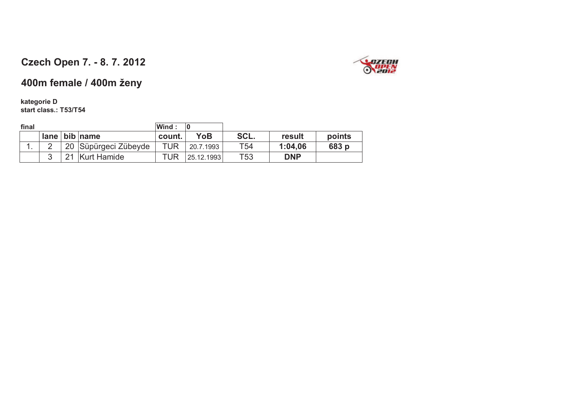

## **400m female / 400m ženy**

#### **kategorie Dstart class.: T53/T54**

| final |   |                      | Wind : | $\mathbf{0}$ |      |            |        |
|-------|---|----------------------|--------|--------------|------|------------|--------|
|       |   | $lane$ bib name      | count. | YoB          | SCL. | result     | points |
| ι.    |   | 20 Süpürgeci Zübeyde | TUR    | 20.7.1993    | T54  | 1:04.06    | 683 p  |
|       | 3 | 21 Kurt Hamide       | TUR    | 25.12.1993   | T53  | <b>DNP</b> |        |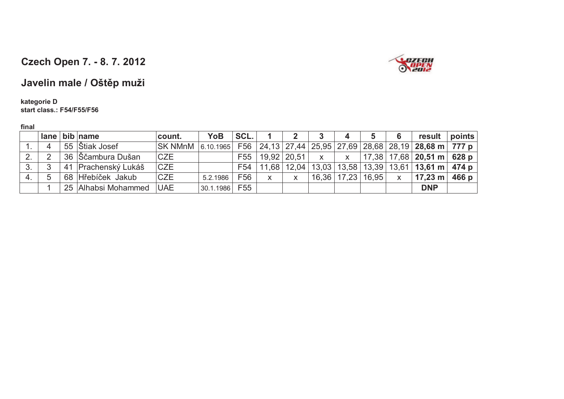

# **Javelin male / Oštp muži**

#### **kategorie Dstart class.: F54/F55/F56**

|     | $l$ ane        | bib name            | count.         | YoB           | SCL. |                         |              |                         | 4                         | 5 <sub>1</sub> | 6            | result points                                                                                     |       |
|-----|----------------|---------------------|----------------|---------------|------|-------------------------|--------------|-------------------------|---------------------------|----------------|--------------|---------------------------------------------------------------------------------------------------|-------|
|     | $\overline{A}$ | 55   Štiak Josef    | <b>SK NMnM</b> |               |      |                         |              |                         |                           |                |              | $\vert$ 6.10.1965   F56   24,13   27,44   25,95   27,69   28,68   28,19   28,68 m   777 p $\vert$ |       |
| 2.  | $\mathcal{P}$  | 36 Ščambura Dušan   | <b>CZE</b>     |               |      | F55   19.92   20.51   x |              |                         | $\mathbf{X}$ $\mathbf{X}$ |                |              | $ 17,38 17,68 20,51 \text{ m}$ 628 p                                                              |       |
| 3.  |                | 41 Prachenský Lukáš | <b>CZE</b>     |               | F54  |                         |              |                         |                           |                |              | 11,68   12,04   13,03   13,58   13,39   13,61   <b>13,61 m   474 p</b>                            |       |
| -4. |                | 68 Hřebíček Jakub   | <b>CZE</b>     | 5.2.1986      | F56  | $\mathsf{X}$            | $\mathsf{X}$ | $16,36$   17,23   16,95 |                           |                | $\mathsf{X}$ | $17,23 \text{ m}$                                                                                 | 466 p |
|     |                | 25 Alhabsi Mohammed | <b>UAE</b>     | 30.1.1986 F55 |      |                         |              |                         |                           |                |              | <b>DNP</b>                                                                                        |       |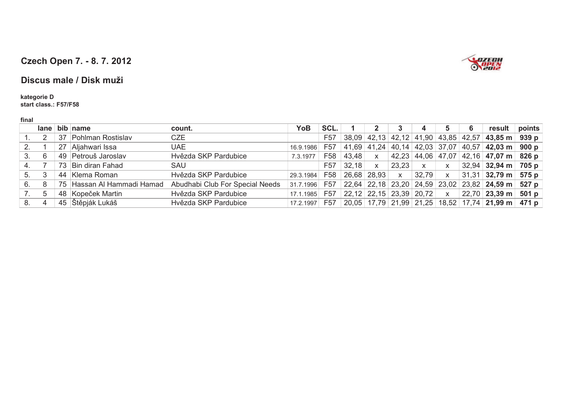

#### **Discus male / Disk muži**

**kategorie D start class.: F57/F58**

|  | × |  |  |
|--|---|--|--|
|  |   |  |  |

|    |    | $lane$ bib name            | count.                          | <b>YoB</b> | SCL.            |                                     |              |              |           |              | 6                                               | result                                                                                              | points |
|----|----|----------------------------|---------------------------------|------------|-----------------|-------------------------------------|--------------|--------------|-----------|--------------|-------------------------------------------------|-----------------------------------------------------------------------------------------------------|--------|
|    |    | 37 Pohlman Rostislav       | <b>CZE</b>                      |            | F <sub>57</sub> |                                     |              |              |           |              | $38,09$   42,13   42,12   41,90   43,85   42,57 | $ 43,85 \text{ m} $ 939 p                                                                           |        |
| 2. |    | 27 Aljahwari Issa          | <b>UAE</b>                      | 16.9.1986  | F <sub>57</sub> |                                     |              |              |           |              |                                                 | $ 41,69 41,24 40,14 42,03 37,07 40,57 42,03 \text{ m} 900 \text{ p}$                                |        |
| 3. | 6  | 49 Petrouš Jaroslav        | Hvězda SKP Pardubice            | 7.3.1977   | F58             | 43,48                               | $\mathsf{X}$ |              |           |              |                                                 | $\vert$ 42,23 $\vert$ 44,06 $\vert$ 47,07 $\vert$ 42,16 $\vert$ <b>47,07 m</b> $\vert$ <b>826 p</b> |        |
| 4. |    | 73 Bin diran Fahad         | SAU                             |            | F <sub>57</sub> | 32,18                               | $\mathsf{x}$ | $23.23$ x    |           | $\mathsf{X}$ |                                                 | $32,94$ 32,94 m 705 p                                                                               |        |
| 5. | -3 | 44 Klema Roman             | Hvězda SKP Pardubice            | 29.3.1984  | F <sub>58</sub> |                                     | 26,68 28,93  | $\mathsf{X}$ | $32,79$ x |              |                                                 | $ 31,31 $ 32,79 m $ 575p $                                                                          |        |
| 6. | 8  | 75 Hassan Al Hammadi Hamad | Abudhabi Club For Special Needs | 31.7.1996  | F <sub>57</sub> |                                     |              |              |           |              |                                                 | 22,64 22,18 23,20 24,59 23,02 23,82 24,59 m 527 p                                                   |        |
| 7. | 5  | 48 Kopeček Martin          | Hvězda SKP Pardubice            | 17.1.1985  | F <sub>57</sub> | $22,12$ $22,15$ $23,39$ $20,72$ $x$ |              |              |           |              |                                                 | $22,70$ 23,39 m                                                                                     | 501 p  |
|    | 4  | 45 Štěpják Lukáš           | Hvězda SKP Pardubice            | 17.2.1997  | F <sub>57</sub> |                                     |              |              |           |              |                                                 | 20,05   17,79   21,99   21,25   18,52   17,74   <b>21,99 m</b>   471 p                              |        |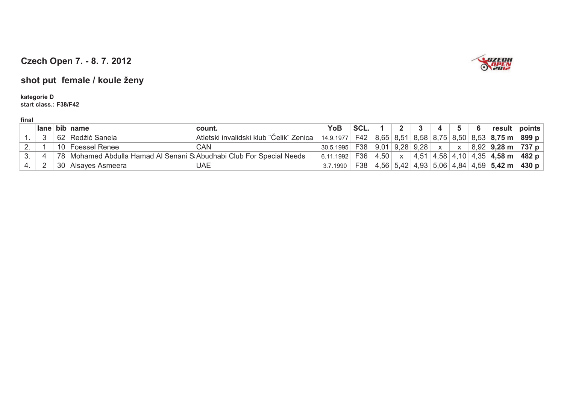

### **shot put female / koule ženy**

**kategorie Dstart class.: F38/F42**

|    | lane | bib name                                                            | count.                                  | YoB           | SCL. |             |      |      |  | result ∣                            | points                                                                                                                 |
|----|------|---------------------------------------------------------------------|-----------------------------------------|---------------|------|-------------|------|------|--|-------------------------------------|------------------------------------------------------------------------------------------------------------------------|
|    |      | 62 Redžić Sanela                                                    | Atletski invalidski klub "Čelik" Zenica | 14.9.1977 F42 |      | $8,65$ 8,51 |      |      |  | $ 8,58 8,75 8,50 8,53 8,75$ m 899 p |                                                                                                                        |
|    |      | 10 Foessel Renee                                                    | CAN                                     | 30.5.1995     | F38  | 9,01        | 9,28 | 9,28 |  | $8,92$   9,28 m   737 p             |                                                                                                                        |
| J. |      | 78 Mohamed Abdulla Hamad Al Senani SAbudhabi Club For Special Needs |                                         | 6.11.1992     | F36  | 4.50        |      | 4,51 |  | $ 4,58 4,10 4,35 $ 4,58 m           | 482 p                                                                                                                  |
|    |      | 30 Alsayes Asmeera                                                  | UAE                                     | 3.7.1990      | F38  |             |      |      |  |                                     | $\mid$ 4,56 $\mid$ 5,42 $\mid$ 4,93 $\mid$ 5,06 $\mid$ 4,84 $\mid$ 4,59 $\mid$ <b>5,42 m</b> $\mid$ 430 <code>p</code> |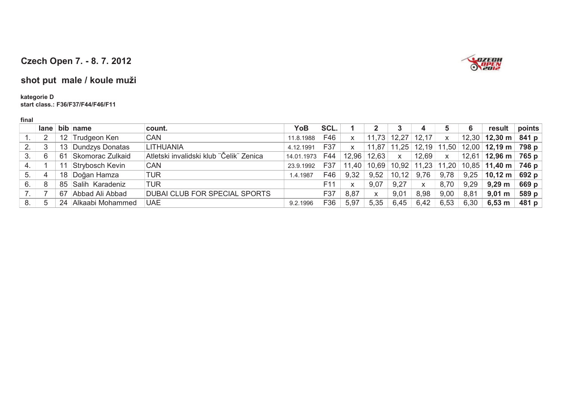

### **shot put male / koule muži**

**kategorie Dstart class.: F36/F37/F44/F46/F11**

|     | lane |                 | bib name               | count.                                  | YoB        | SCL.            |              |       |                |               |                | 6     | result                      | points |
|-----|------|-----------------|------------------------|-----------------------------------------|------------|-----------------|--------------|-------|----------------|---------------|----------------|-------|-----------------------------|--------|
|     |      | 12 <sup>°</sup> | <b>Trudgeon Ken</b>    | CAN                                     | 11.8.1988  | F46             | X            | 11,73 | 12,27          | 12,17         | X              | 12,30 | $12,30 \text{ m}$           | 841 p  |
| ົ   |      | 13              | Dundzys Donatas        | <b>LITHUANIA</b>                        | 4.12.1991  | F37             | $\mathsf{x}$ | 11,87 | 11,25          | 12,19         | 11,50          | 12,00 | $12,19 \text{ m}$           | 798 p  |
|     | 6    | 61              | Skomorac Zulkaid       | Atletski invalidski klub "Čelik" Zenica | 14.01.1973 | F44             | 12.96        | 12,63 | $\pmb{\times}$ | 12,69         | $\pmb{\times}$ | 12,61 | $12,96 \text{ m}$           | 765 p  |
| -4. |      |                 | <b>Strybosch Kevin</b> | <b>CAN</b>                              | 23.9.1992  | F37             | 11,40        | 10,69 |                | $10,92$ 11,23 | 11,20          |       | 10,85 11,40 m $\vert$ 746 p |        |
| 5.  | 4    | 18              | Doğan Hamza            | TUR                                     | 1.4.1987   | F46             | 9.32         | 9,52  | 10, 12         | 9,76          | 9,78           | 9,25  | $10,12 \text{ m}$           | 692 p  |
| 6.  |      | 85              | Salih Karadeniz        | TUR                                     |            | F <sub>11</sub> | X.           | 9,07  | 9,27           | $\mathsf{X}$  | 8,70           | 9,29  | 9,29 m                      | 669 p  |
|     |      | 67              | Abbad Ali Abbad        | DUBAI CLUB FOR SPECIAL SPORTS           |            | F37             | 8,87         | X     | 9,01           | 8,98          | 9,00           | 8,81  | $9,01 \; m$                 | 589 p  |
|     |      | 24              | Alkaabi Mohammed       | <b>UAE</b>                              | 9.2.1996   | F36             | 5,97         | 5.35  | 6,45           | 6,42          | 6,53           | 6,30  | $6,53 \; m$                 | 481 p  |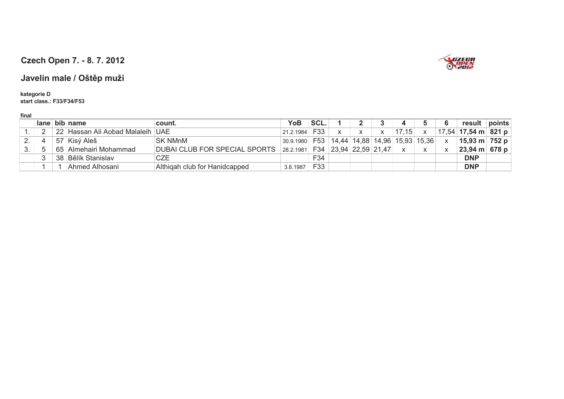

### **Javelin male / Oštp muži**

**kategorie D start class.: F33/F34/F53**

|  | lane bib name                    | count.                                    | YoB       | SCL. |                         |    |       |       | result                | points |
|--|----------------------------------|-------------------------------------------|-----------|------|-------------------------|----|-------|-------|-----------------------|--------|
|  | 22 Hassan Ali Aobad Malaleih UAE |                                           | 21.2.1984 | F33  |                         | X. | 17,15 |       | $17,54$ 17,54 m 821 p |        |
|  | 57 Kisý Aleš                     | <b>SK NMnM</b>                            | 30.9.1980 | F53  | 14,44 14,88 14,96 15,93 |    |       | 15,36 | 15,93 m 752 p         |        |
|  | 65 Almehairi Mohammad            | DUBAI CLUB FOR SPECIAL SPORTS   28.2.1981 |           |      | F34 23,94 22,59 21,47   |    |       |       | 23,94 m 678 p         |        |
|  | 38 Bělík Stanislav               | CZE                                       |           | F34  |                         |    |       |       | <b>DNP</b>            |        |
|  | Ahmed Alhosani                   | Althigah club for Hanidcapped             | 3.8.1987  | F33  |                         |    |       |       | <b>DNP</b>            |        |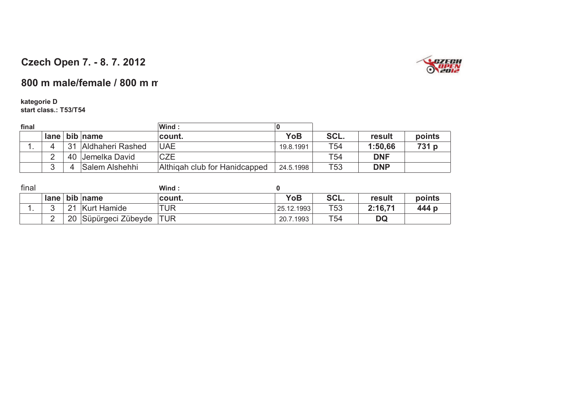

### 800 m male/female / 800 m m

#### **kategorie D**

**start class.: T53/T54**

| final |             |    |                  | Wind:                         | 0          |                 |            |        |
|-------|-------------|----|------------------|-------------------------------|------------|-----------------|------------|--------|
|       | <b>lane</b> |    | bib name         | count.                        | <b>YoB</b> | SCL.            | result     | points |
|       |             | 31 | Aldhaheri Rashed | <b>UAE</b>                    | 19.8.1991  | T <sub>54</sub> | 1:50.66    | 731 p  |
|       |             |    | 40 Jemelka David | <b>CZE</b>                    |            | T54             | <b>DNF</b> |        |
|       |             |    | Salem Alshehhi   | Althigah club for Hanidcapped | 24.5.1998  | T53             | <b>DNP</b> |        |

| final |        |          |                       | Wind:      |            |      |         |        |
|-------|--------|----------|-----------------------|------------|------------|------|---------|--------|
|       |        |          | lane   bib   name     | count.     | <b>YoB</b> | SCL. | result  | points |
|       |        | $\Omega$ | <b>Kurt Hamide</b>    | <b>TUR</b> | 25.12.1993 | T53  | 2:16,71 | 444 p  |
|       | $\sim$ | 20       | Süpürgeci Zübeyde TUR |            | 20.7.1993  | T54  | DQ      |        |
|       |        |          |                       |            |            |      |         |        |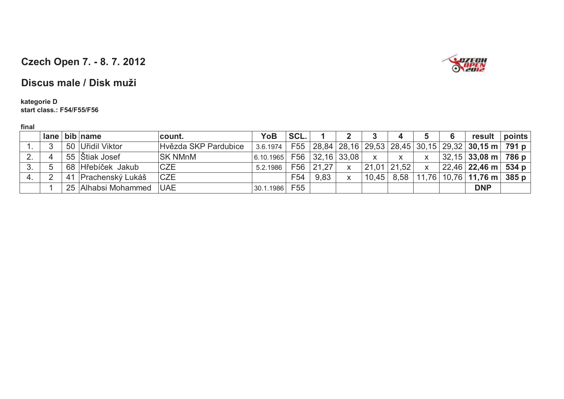

### **Discus male / Disk muži**

# **kategorie D**

**start class.: F54/F55/F56**

|    |   | $lane$ bib name     | count.               | <b>YoB</b>                  | SCL. |           |                         |              | 4             |              | 6 | result                                                                              | points |
|----|---|---------------------|----------------------|-----------------------------|------|-----------|-------------------------|--------------|---------------|--------------|---|-------------------------------------------------------------------------------------|--------|
|    | ູ | 50 Uřidil Viktor    | Hvězda SKP Pardubice | 3.6.1974                    |      |           |                         |              |               |              |   | F55   28,84   28,16   29,53   28,45   30,15   29,32   <b>30,15 m</b>   <b>791 p</b> |        |
| 2. |   | 55 Stiak Josef      | <b>SK NMnM</b>       | $6.10.1965$ F56 32,16 33,08 |      |           |                         | $\mathsf{X}$ | X.            | X            |   | $32,15$ 33,08 m $\overline{)}$ 786 p                                                |        |
| 3. | 5 | 68 Hřebíček Jakub   | <b>CZE</b>           | 5.2.1986                    |      | F56 21,27 | $\overline{\mathsf{X}}$ |              | $21,01$ 21,52 | $\mathsf{X}$ |   | $22,46$ 22,46 m 534 p                                                               |        |
|    |   | 41 Prachenský Lukáš | <b>CZE</b>           |                             | F54  | 9,83      | X                       | 10.45        | 8,58          |              |   | $11,76$   10,76   11,76 m   385 p                                                   |        |
|    |   | 25 Alhabsi Mohammed | <b>UAE</b>           | 30.1.1986                   | F55  |           |                         |              |               |              |   | <b>DNP</b>                                                                          |        |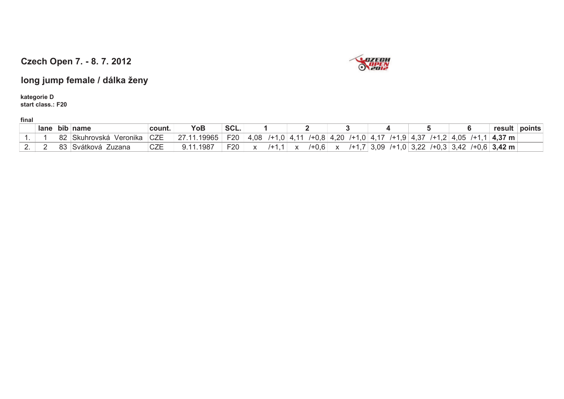

**long jump female / dálka ženy**

**kategorie Dstart class.: F20**

|   | $lane$ bib |          | name                  | count.                                 | ҮоЬ         | SCL.       |      |  |          |        |     |      |           |                | result                    | points |
|---|------------|----------|-----------------------|----------------------------------------|-------------|------------|------|--|----------|--------|-----|------|-----------|----------------|---------------------------|--------|
|   |            | ററ<br>οz | kuhrovska<br>Veronika | $\sim$ 7 $\Gamma$<br>◡∠∟               | 19965<br>~- | ⊏กก<br>`∠∪ | 0.06 |  |          | $\sim$ | . ب |      | $\cdot\,$ | $\overline{C}$ | $\sim$ $\sim$<br>m<br>. . |        |
| - |            | ററ<br>ບບ | -uzana<br>101120110   | $\cap \neg \neg$<br>◡∠⊏<br>___________ | $198^-$     | roo.<br>Ω∪ |      |  | ັບ<br>.∪ |        |     | - 14 |           |                | $12 \text{ m}$            |        |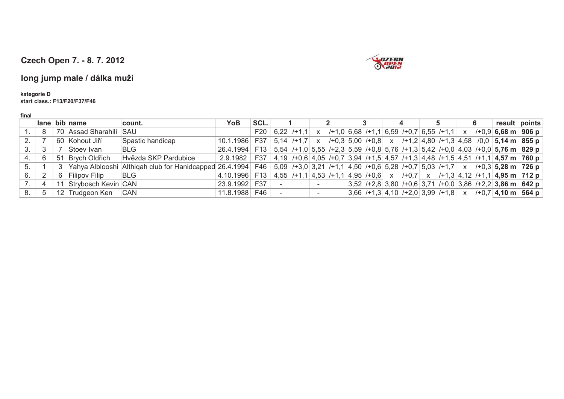

#### **long jump male / dálka muži**

#### **kategorie D**

**start class.: F13/F20/F37/F46**

|    |     | ∣ lane ∣ bib ∣name     | count.                                                                                                                                    | YoB                                                                                                           | SCL. |        |  |  |  | 4 | 5. |  | result points                                                                                      |
|----|-----|------------------------|-------------------------------------------------------------------------------------------------------------------------------------------|---------------------------------------------------------------------------------------------------------------|------|--------|--|--|--|---|----|--|----------------------------------------------------------------------------------------------------|
|    | - 8 | 70 Assad Sharahili SAU |                                                                                                                                           |                                                                                                               |      |        |  |  |  |   |    |  | F20 6,22 /+1,1 x /+1,0 6,68 /+1,1 6,59 /+0,7 6,55 /+1,1 x /+0,9 6,68 m 906 p                       |
|    |     | 60 Kohout Jiří         | Spastic handicap                                                                                                                          | 10.1.1986   F37   5,14 / +1,7   x / +0,3   5,00 / +0,8   x / +1,2   4,80 / +1,3   4,58 / 0,0   5,14 m   855 p |      |        |  |  |  |   |    |  |                                                                                                    |
| 3. | - 3 | Stoev Ivan             | <b>BLG</b>                                                                                                                                | $26.4.1994$ F13 5,54 /+1,0 5,55 /+2,3 5,59 /+0,8 5,76 /+1,3 5,42 /+0,0 4,03 /+0,0 5,76 m 829 p                |      |        |  |  |  |   |    |  |                                                                                                    |
|    | -6  | 51 Brych Oldřich       | Hvězda SKP Pardubice                                                                                                                      | 2.9.1982                                                                                                      |      |        |  |  |  |   |    |  | F37   4,19 /+0,6   4,05 /+0,7   3,94 /+1,5   4,57 /+1,3   4,48 /+1,5   4,51 /+1,1   4,57 m   760 p |
| 5. |     |                        | 3 Yahya Alblooshi Althiqah club for Hanidcapped 26.4.1994 F46 5,09 /+3,0 3,21 /+1,1 4,50 /+0,6 5,28 /+0,7 5,03 /+1,7 x /+0,3 5,28 m 726 p |                                                                                                               |      |        |  |  |  |   |    |  |                                                                                                    |
| 6. |     | 6 Filipov Filip        | <b>BLG</b>                                                                                                                                | $ 4.10.1996 $ F13 $ 4.55$ /+1,1 $ 4.53$ /+1,1 $ 4.95$ /+0,6 $x$ /+0,7 $x$ /+1,3 $ 4.12$ /+1,1 $ 4.95$ m 712 p |      |        |  |  |  |   |    |  |                                                                                                    |
|    |     | 11 Strybosch Kevin CAN |                                                                                                                                           | 23.9.1992                                                                                                     | F37  |        |  |  |  |   |    |  | $3,52$ /+2,8 3,80 /+0,6 3,71 /+0,0 3,86 /+2,2 3,86 m 642 p                                         |
| 8. | -5  | 12 Trudgeon Ken CAN    |                                                                                                                                           | 11.8.1988 F46                                                                                                 |      | $\sim$ |  |  |  |   |    |  | 3,66 /+1,3 4,10 /+2,0 3,99 /+1,8 $x$ /+0,7 4,10 m 564 p                                            |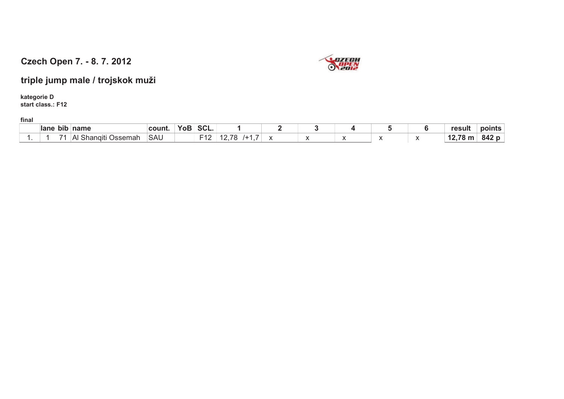

**triple jump male / trojskok muži**

**kategorie Dstart class.: F12**

| lane | ∣ bib | name | $\sim$<br>------------------ | $\sim$<br>JUL. |  |  | -------- | . .<br>result |    |
|------|-------|------|------------------------------|----------------|--|--|----------|---------------|----|
|      |       | .    | SAU                          | . .            |  |  |          | . .           | т. |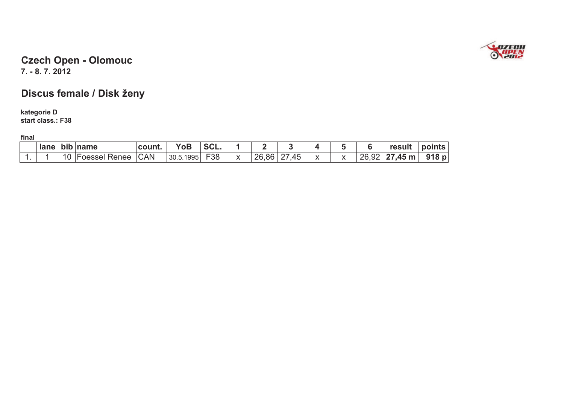

#### **7. - 8. 7. 2012 Czech Open - Olomouc**

# **Discus female / Disk ženy**

#### **kategorie D**

**start class.: F38**

| lane | . .<br>bıb | <b>Iname</b>            | ⊪count.    |                | JUL. |       |         |  |       | result              | nte<br>ЮC<br>11 I L.S |
|------|------------|-------------------------|------------|----------------|------|-------|---------|--|-------|---------------------|-----------------------|
|      | 10         | <b>Foessel</b><br>Renee | <b>CAN</b> | .1995<br>30.5. | F38  | 26,86 | 45<br>_ |  | 26,92 | $27,45 \, \text{m}$ | 918 p                 |
|      |            |                         |            |                |      |       |         |  |       |                     |                       |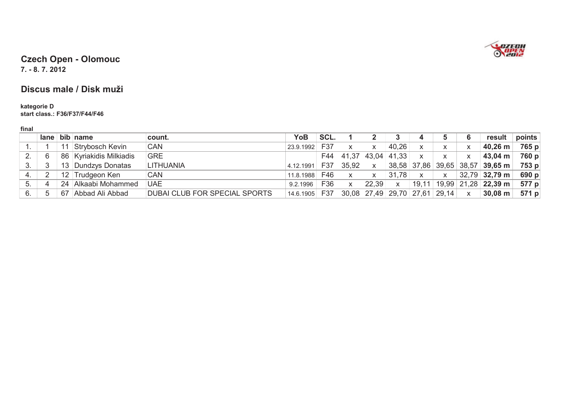

**7. - 8. 7. 2012** 

#### **Discus male / Disk muži**

# **kategorie D start class.: F36/F37/F44/F46**

| M. |
|----|
|----|

|    |   |    | $lane$ bib name         | count.                               | YoB       | SCL. |              |       |             |              |                                         | 6            | result                           | points |
|----|---|----|-------------------------|--------------------------------------|-----------|------|--------------|-------|-------------|--------------|-----------------------------------------|--------------|----------------------------------|--------|
|    |   |    | Strybosch Kevin         | <b>CAN</b>                           | 23.9.1992 | F37  | X            | X.    | 40,26       | X            |                                         |              | 40,26 m                          | 765 p  |
|    | 6 |    | 86 Kyriakidis Milkiadis | <b>GRE</b>                           |           | F44  | 41,37        |       | 43,04 41,33 | $\mathsf{X}$ | $\mathsf{x}$                            |              | 43,04 m                          | 760 p  |
| 3. | 3 |    | 13 Dundzys Donatas      | LITHUANIA                            | 4.12.1991 | F37  | 35,92        | X.    |             |              | 38,58 37,86 39,65 38,57                 |              | $39,65 \text{ m}$                | 753 p  |
| 4. | C |    | 12 Trudgeon Ken         | <b>CAN</b>                           | 11.8.1988 | F46  | $\mathsf{x}$ | X     | 31,78       | $\mathsf{x}$ | $\mathsf{x}$                            |              | $32,79$ 32,79 m                  | 690 p  |
| 5. | 4 | 24 | Alkaabi Mohammed        | <b>UAE</b>                           | 9.2.1996  | F36  | $\mathsf{x}$ | 22,39 | X           | 19,11        |                                         |              | $19,99$   21,28   <b>22,39 m</b> | 577 p  |
| 6. | 5 | 67 | Abbad Ali Abbad         | <b>DUBAI CLUB FOR SPECIAL SPORTS</b> | 14.6.1905 | F37  |              |       |             |              | $30,08$   27,49   29,70   27,61   29,14 | $\mathsf{x}$ | $30,08 \; \text{m}$              | 571 p  |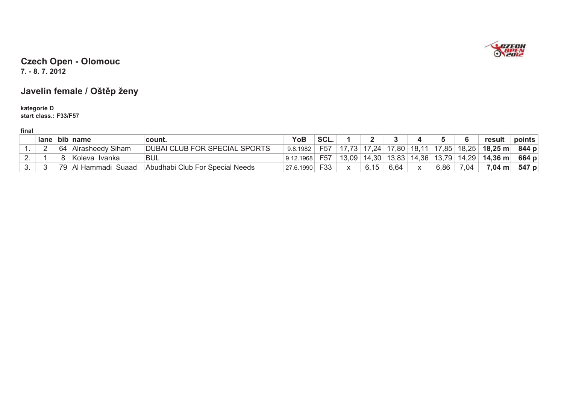

**7. - 8. 7. 2012** 

## **Javelin female / Oštp ženy**

#### **kategorie Dstart class.: F33/F57**

|             | lane l | bib | name                | count.                                | YoB       | SCL.            |       |       |       |       |         |       | result              | points |
|-------------|--------|-----|---------------------|---------------------------------------|-----------|-----------------|-------|-------|-------|-------|---------|-------|---------------------|--------|
|             |        | 64  | Siham<br>Alrasheedy | UB FOR SPECIAL SPORTS<br><b>DUBAI</b> | 9.8.1982  | F <sub>57</sub> |       | 17,24 | 17,80 | 18,1  | 17 85   | 18,25 | $18,25 \; \text{m}$ | 844 p  |
| <u>. . </u> |        |     | Ivanka<br>Koleva    | <b>BUL</b>                            | .1968     | F <sub>57</sub> | 13,09 | 14,30 | 13,83 | 14,36 | 13.79 I | 14,29 | $14,36 \text{ m}$   | 664 p  |
|             |        | 79  | Suaad<br>Hammadı    | Abudhabi Club For Special Needs       | 27.6.1990 |                 |       |       | 6.64  |       | 5,86    | 7,04  | $7,04 \text{ m}$    | 547 p  |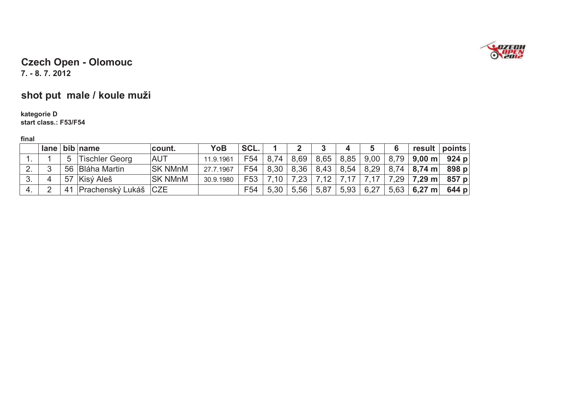

**7. - 8. 7. 2012** 

# **shot put male / koule muži**

# **kategorie D start class.: F53/F54**

|    |                | $lane$ bib name         | count.         | <b>YoB</b> | SCL.            |      |      |      | 4    |             | 6 | result points                                       |  |
|----|----------------|-------------------------|----------------|------------|-----------------|------|------|------|------|-------------|---|-----------------------------------------------------|--|
|    | 5 <sup>5</sup> | <b>Tischler Georg</b>   | <b>AUT</b>     | 11.9.1961  | F <sub>54</sub> | 8.74 | 8,69 |      |      |             |   | $ 8,65 8,85 9,00 8,79 9,00 \text{ m}$ 924 p         |  |
|    |                | 56 Bláha Martin         | <b>SK NMnM</b> | 27.7.1967  | F54             | 8,30 | 8,36 |      |      |             |   | $ 8,43 8,54 8,29 8,74 8,74 \text{ m} 898 \text{ p}$ |  |
| 3. |                | 57 Kisý Aleš            | <b>SK NMnM</b> | 30.9.1980  | F53             | 7.10 | 7.23 | 7,12 | 7,17 | 7,17        |   | 7,29   <b>7,29 m</b>   857 p                        |  |
|    |                | 41 Prachenský Lukáš CZE |                |            | F <sub>54</sub> | 5,30 | 5,56 | 5,87 |      | 5,93   6,27 |   | $5,63$ 6,27 m 644 p                                 |  |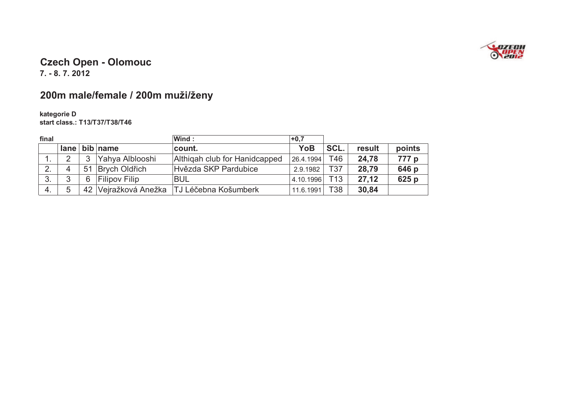

**7. - 8. 7. 2012** 

# **200m male/female / 200m muži/ženy**

# **kategorie D start class.: T13/T37/T38/T46**

| final |   |    |                      | Wind:                         | $+0,7$    |                 |        |        |
|-------|---|----|----------------------|-------------------------------|-----------|-----------------|--------|--------|
|       |   |    | $lane$ bib name      | count.                        | YoB       | SCL.            | result | points |
|       |   | 3  | Yahya Alblooshi      | Althigah club for Hanidcapped | 26.4.1994 | T46             | 24,78  | 777 p  |
|       | 4 | 51 | Brych Oldřich        | Hvězda SKP Pardubice          | 2.9.1982  | T37             | 28,79  | 646 p  |
| 3.    |   | 6  | <b>Filipov Filip</b> | <b>BUL</b>                    | 4.10.1996 | T <sub>13</sub> | 27,12  | 625 p  |
| 4.    | 5 |    | 42 Vejražková Anežka | <b>TJ Léčebna Košumberk</b>   | 11.6.1991 | T38             | 30,84  |        |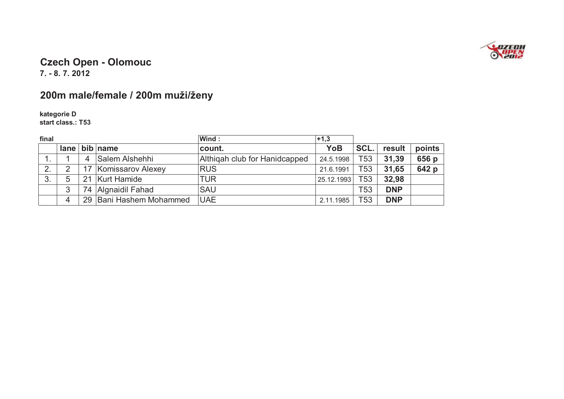

**7. - 8. 7. 2012** 

# **200m male/female / 200m muži/ženy**

**kategorie D start class.: T53**

| final |   |    |                      | Wind:                         | $+1,3$     |                 |            |        |
|-------|---|----|----------------------|-------------------------------|------------|-----------------|------------|--------|
|       |   |    | $lane$ bib name      | count.                        | YoB        | SCL.            | result     | points |
|       |   | 4  | Salem Alshehhi       | Althigah club for Hanidcapped | 24.5.1998  | T53             | 31,39      | 656 p  |
| 2.    |   | 17 | Komissarov Alexey    | <b>RUS</b>                    | 21.6.1991  | T <sub>53</sub> | 31,65      | 642 p  |
| 3.    | 5 | 21 | <b>Kurt Hamide</b>   | <b>TUR</b>                    | 25.12.1993 | T <sub>53</sub> | 32,98      |        |
|       | 3 |    | 74 Algnaidil Fahad   | <b>SAU</b>                    |            | T <sub>53</sub> | <b>DNP</b> |        |
|       | 4 | 29 | Bani Hashem Mohammed | <b>UAE</b>                    | 2.11.1985  | T <sub>53</sub> | <b>DNP</b> |        |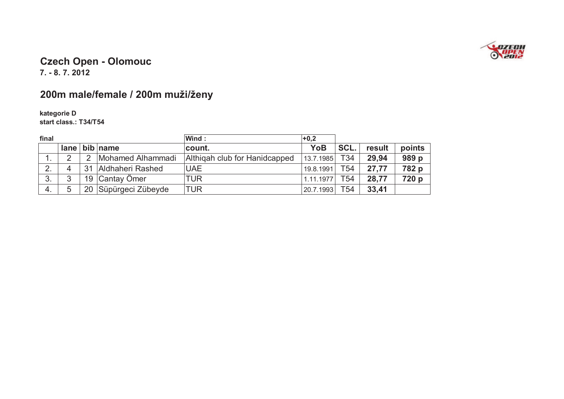

**7. - 8. 7. 2012** 

## **200m male/female / 200m muži/ženy**

**kategorie Dstart class.: T34/T54**

| final |   |    |                      | Wind :                        | $+0,2$    |                 |        |        |
|-------|---|----|----------------------|-------------------------------|-----------|-----------------|--------|--------|
|       |   |    | $lane$ bib name      | count.                        | YoB       | SCL.            | result | points |
|       | 2 | 2  | Mohamed Alhammadi    | Althigah club for Hanidcapped | 13.7.1985 | T <sub>34</sub> | 29.94  | 989 p  |
| 2.    | 4 | 31 | Aldhaheri Rashed     | <b>UAE</b>                    | 19.8.1991 | T <sub>54</sub> | 27,77  | 782 p  |
| 3.    | 3 |    | 19 Cantay Ömer       | TUR                           | 1.11.1977 | T <sub>54</sub> | 28.77  | 720 p  |
| 4.    | 5 |    | 20 Süpürgeci Zübeyde | TUR                           | 20.7.1993 | T <sub>54</sub> | 33,41  |        |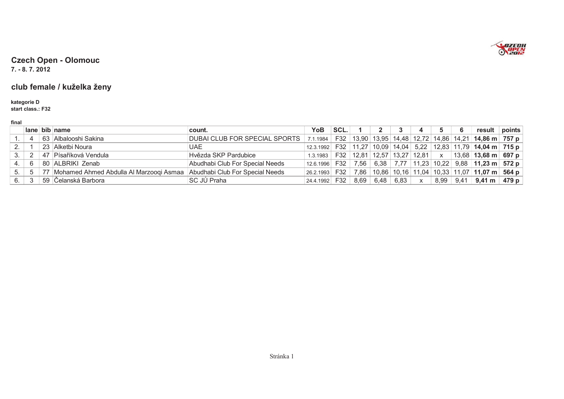

**7. - 8. 7. 2012** 

#### **club female / kuželka ženy**

#### **kategorie Dstart class.: F32**

|  | ٠ |  |
|--|---|--|
|  |   |  |

|    |                | lane bib name                                                              | count.                                                                                                         | YoB           | SCL. |                    |  | - 6 | result points                                                                            |  |
|----|----------------|----------------------------------------------------------------------------|----------------------------------------------------------------------------------------------------------------|---------------|------|--------------------|--|-----|------------------------------------------------------------------------------------------|--|
|    | -4             | 63 Albalooshi Sakina                                                       | DUBAI CLUB FOR SPECIAL SPORTS 7.1.1984   F32   13,90   13,95   14,48   12,72   14,86   14,21   14,86 m   757 p |               |      |                    |  |     |                                                                                          |  |
|    |                | 23 Alketbi Noura                                                           | UAE.                                                                                                           |               |      |                    |  |     | 12.3.1992   F32   11,27   10,09   14,04   5,22   12,83   11,79   <b>14,04 m   715 p</b>  |  |
|    | $\overline{2}$ | 47 Písaříková Vendula                                                      | Hvězda SKP Pardubice                                                                                           | 1.3.1983      |      |                    |  |     | F32   12,81   12,57   13,27   12,81   x   13,68   <b>13,68 m   697 p</b>                 |  |
|    | - 6            | 80 ALBRIKI Zenab                                                           | Abudhabi Club For Special Needs                                                                                |               |      |                    |  |     | 12.6.1996   F32   7,56   6,38   7,77   11,23   10,22   9,88   <b>11,23 m   572 p</b>     |  |
| 5. | 5              | 77 Mohamed Ahmed Abdulla Al Marzoogi Asmaa Abudhabi Club For Special Needs |                                                                                                                |               |      |                    |  |     | $\vert$ 26.2.1993   F32   7,86   10,86   10,16   11,04   10,33   11,07   11,07 m   564 p |  |
| 6. | 3              | 59 Čelanská Barbora                                                        | SC JÚ Praha                                                                                                    | 24.4.1992 F32 |      | $8,69$ 6,48 6,83 x |  |     | $8,99$   9,41   <b>9,41 m</b>   479 p                                                    |  |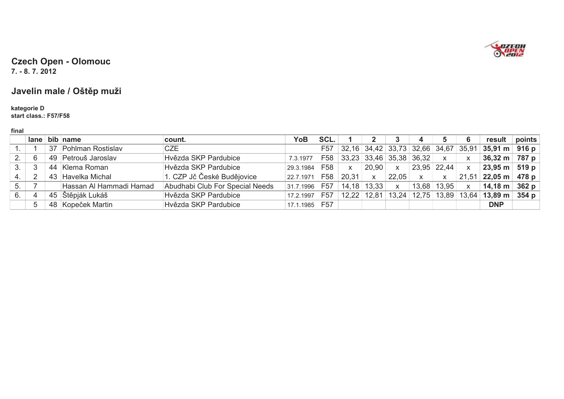

**7. - 8. 7. 2012** 

### **Javelin male / Oštp muži**

#### **kategorie Dstart class.: F57/F58**

|    |     | lane bib name           | count.                          | YoB                                                | SCL. |                          |                 |                | 4            |              |              | result                                                 | points |
|----|-----|-------------------------|---------------------------------|----------------------------------------------------|------|--------------------------|-----------------|----------------|--------------|--------------|--------------|--------------------------------------------------------|--------|
|    |     | 37 Pohlman Rostislav    | <b>CZE</b>                      |                                                    | F57  |                          |                 |                |              |              |              | $ 32,16 34,42 33,73 32,66 34,67 35,91 35,91 m 916 p$   |        |
|    | 6   | 49 Petrouš Jaroslav     | Hvězda SKP Pardubice            | 7.3.1977   F58   33,23   33,46   35,38   36,32   x |      |                          |                 |                |              |              | $\mathsf{X}$ | 36,32 m 787 p                                          |        |
| 3. | -3  | 44 Klema Roman          | Hvězda SKP Pardubice            | 29.3.1984 F58                                      |      | $\mathsf{X}$             | $20,90$ x       |                | 23,95 22,44  |              | $\mathsf{X}$ | $23,95 \text{ m}$ 519 p                                |        |
|    | - 2 | 43 Havelka Michal       | 1. CZP Jč České Budějovice      | 22.7.1971 F58                                      |      | $^{\circ}$ 20,31 $\vert$ | $\mathsf{X}$    | $\sqrt{22,05}$ | $\mathsf{X}$ | $\mathsf{X}$ |              | $21,51$ 22,05 m 478 p                                  |        |
| 5. |     | Hassan AI Hammadi Hamad | Abudhabi Club For Special Needs | 31.7.1996 F57                                      |      | $14,18$ 13,33            |                 | $\mathsf{X}$   | 13,68        | 13,95        | $\mathsf{X}$ | 14,18 m $\sqrt{362}$ p                                 |        |
|    | -4  | 45 Štěpják Lukáš        | Hvězda SKP Pardubice            | 17.2.1997 F57                                      |      |                          | $12,22$   12,81 |                |              |              |              | 13,24   12,75   13,89   13,64   <b>13,89 m   354 p</b> |        |
|    | 5   | 48 Kopeček Martin       | Hvězda SKP Pardubice            | 17.1.1985 F57                                      |      |                          |                 |                |              |              |              | <b>DNP</b>                                             |        |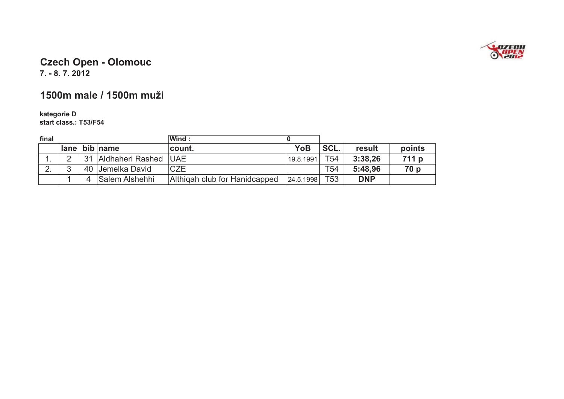

**7. - 8. 7. 2012** 

#### **1500m male / 1500m muži**

# **kategorie D start class.: T53/F54**

| final |   |    |                       | Wind:                         |           |                 |            |        |
|-------|---|----|-----------------------|-------------------------------|-----------|-----------------|------------|--------|
|       |   |    | $lane$ bib name       | count.                        | YoB       | SCL.            | result     | points |
|       |   | 31 | Aldhaheri Rashed      | <b>UAE</b>                    | 19.8.1991 | T54             | 3:38,26    | 711 p  |
| 2.    | ◠ |    | 40 Jemelka David      | <b>CZE</b>                    |           | T <sub>54</sub> | 5:48,96    | 70p    |
|       |   | 4  | <b>Salem Alshehhi</b> | Althigah club for Hanidcapped | 24.5.1998 | T <sub>53</sub> | <b>DNP</b> |        |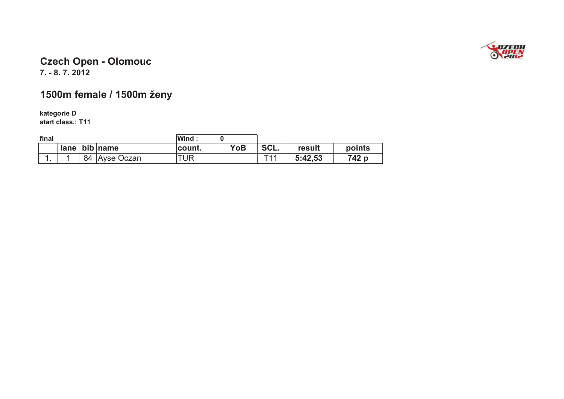

#### **7. - 8. 7. 2012 Czech Open - Olomouc**

## **1500m female / 1500m ženy**

**kategorie D start class.: T11**

| final |    |                 | Wind:  |     |      |         |        |
|-------|----|-----------------|--------|-----|------|---------|--------|
|       |    | $lane$ bib name | count. | YoB | SCL. | result  | points |
| . .   | 84 | Ayse Oczan      | "UR    |     | T11  | 5:42,53 | 742 p  |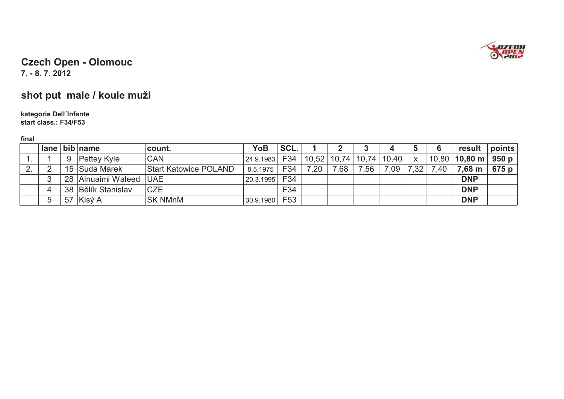

**7. - 8. 7. 2012** 

# **shot put male / koule muži**

# **kategorie Dell´Infante start class.: F34/F53**

|    | lane l |    | bib name           | count.                       | YoB       | SCL.            |       |      | υ             | 4     |              |      | result            | points  |
|----|--------|----|--------------------|------------------------------|-----------|-----------------|-------|------|---------------|-------|--------------|------|-------------------|---------|
|    |        | 9  | <b>Pettey Kyle</b> | <b>CAN</b>                   | 24.9.1983 | F34             | 10,52 |      | $10,74$ 10,74 | 10,40 | $\mathsf{X}$ |      | 10,80 $ $ 10,80 m | , 950 p |
| Ζ. |        |    | 15 Suda Marek      | <b>Start Katowice POLAND</b> | 8.5.1975  | F34             | 7.20  | 7,68 | 7,56          | 7,09  | 7,32         | 7.40 | 7,68 m            | 675 p   |
|    | 3      |    | 28 Alnuaimi Waleed | <b>UAE</b>                   | 20.3.1995 | F34             |       |      |               |       |              |      | <b>DNP</b>        |         |
|    | 4      |    | 38 Bělík Stanislav | <b>CZE</b>                   |           | F34             |       |      |               |       |              |      | <b>DNP</b>        |         |
|    | 5      | 57 | ∣Kisý A            | <b>SK NMnM</b>               | 30.9.1980 | F <sub>53</sub> |       |      |               |       |              |      | <b>DNP</b>        |         |